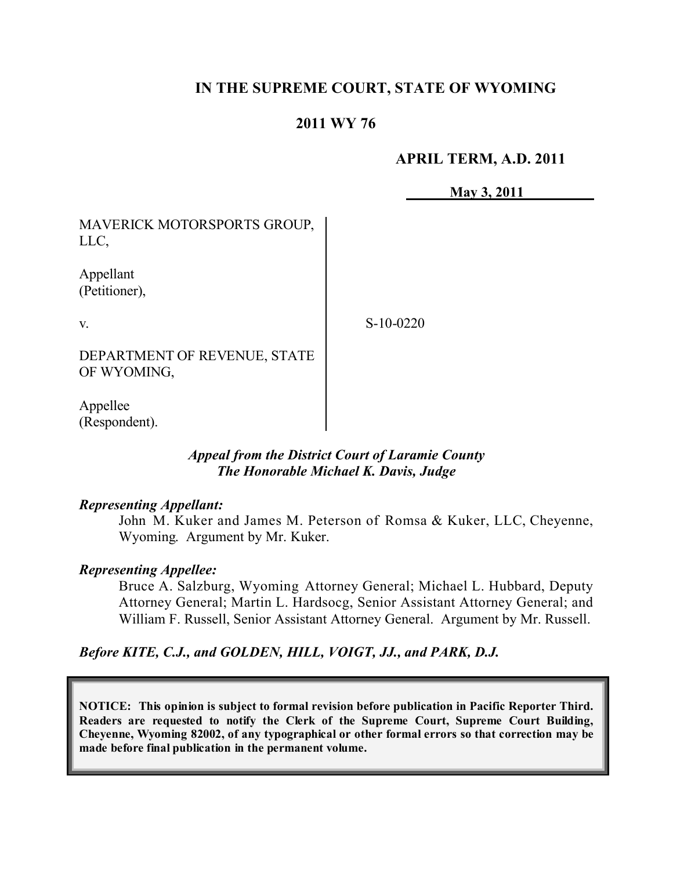## **IN THE SUPREME COURT, STATE OF WYOMING**

## **2011 WY 76**

#### **APRIL TERM, A.D. 2011**

 **May 3, 2011**

MAVERICK MOTORSPORTS GROUP, LLC,

Appellant (Petitioner),

v.

S-10-0220

DEPARTMENT OF REVENUE, STATE OF WYOMING,

Appellee (Respondent).

#### *Appeal from the District Court of Laramie County The Honorable Michael K. Davis, Judge*

#### *Representing Appellant:*

John M. Kuker and James M. Peterson of Romsa & Kuker, LLC, Cheyenne, Wyoming. Argument by Mr. Kuker.

#### *Representing Appellee:*

Bruce A. Salzburg, Wyoming Attorney General; Michael L. Hubbard, Deputy Attorney General; Martin L. Hardsocg, Senior Assistant Attorney General; and William F. Russell, Senior Assistant Attorney General. Argument by Mr. Russell.

*Before KITE, C.J., and GOLDEN, HILL, VOIGT, JJ., and PARK, D.J.*

**NOTICE: This opinion is subject to formal revision before publication in Pacific Reporter Third. Readers are requested to notify the Clerk of the Supreme Court, Supreme Court Building, Cheyenne, Wyoming 82002, of any typographical or other formal errors so that correction may be made before final publication in the permanent volume.**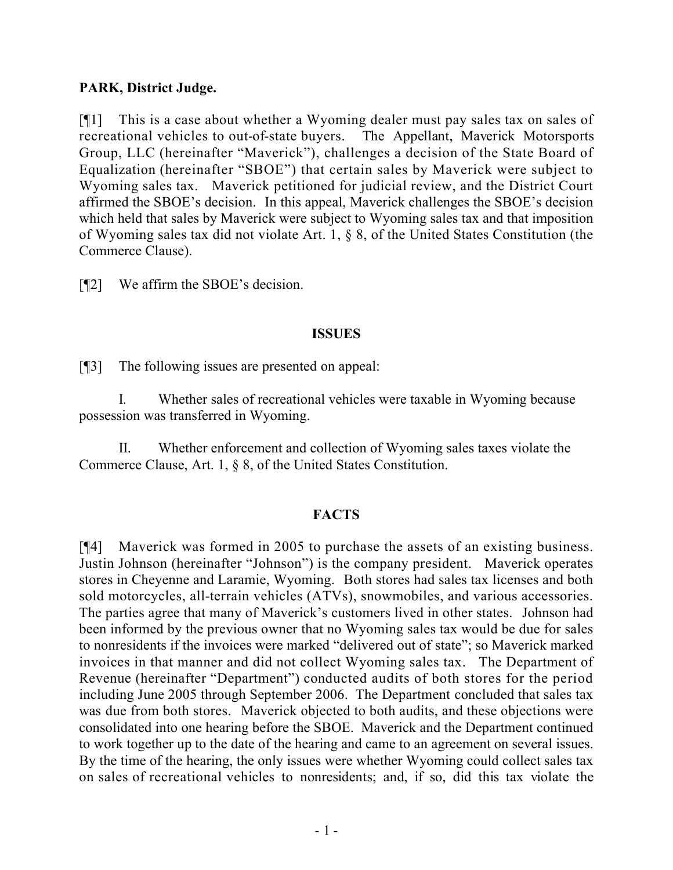## **PARK, District Judge.**

[¶1] This is a case about whether a Wyoming dealer must pay sales tax on sales of recreational vehicles to out-of-state buyers. The Appellant, Maverick Motorsports Group, LLC (hereinafter "Maverick"), challenges a decision of the State Board of Equalization (hereinafter "SBOE") that certain sales by Maverick were subject to Wyoming sales tax. Maverick petitioned for judicial review, and the District Court affirmed the SBOE's decision. In this appeal, Maverick challenges the SBOE's decision which held that sales by Maverick were subject to Wyoming sales tax and that imposition of Wyoming sales tax did not violate Art. 1, § 8, of the United States Constitution (the Commerce Clause).

[¶2] We affirm the SBOE's decision.

### **ISSUES**

[¶3] The following issues are presented on appeal:

I. Whether sales of recreational vehicles were taxable in Wyoming because possession was transferred in Wyoming.

II. Whether enforcement and collection of Wyoming sales taxes violate the Commerce Clause, Art. 1, § 8, of the United States Constitution.

### **FACTS**

[¶4] Maverick was formed in 2005 to purchase the assets of an existing business. Justin Johnson (hereinafter "Johnson") is the company president. Maverick operates stores in Cheyenne and Laramie, Wyoming. Both stores had sales tax licenses and both sold motorcycles, all-terrain vehicles (ATVs), snowmobiles, and various accessories. The parties agree that many of Maverick's customers lived in other states. Johnson had been informed by the previous owner that no Wyoming sales tax would be due for sales to nonresidents if the invoices were marked "delivered out of state"; so Maverick marked invoices in that manner and did not collect Wyoming sales tax. The Department of Revenue (hereinafter "Department") conducted audits of both stores for the period including June 2005 through September 2006. The Department concluded that sales tax was due from both stores. Maverick objected to both audits, and these objections were consolidated into one hearing before the SBOE. Maverick and the Department continued to work together up to the date of the hearing and came to an agreement on several issues. By the time of the hearing, the only issues were whether Wyoming could collect sales tax on sales of recreational vehicles to nonresidents; and, if so, did this tax violate the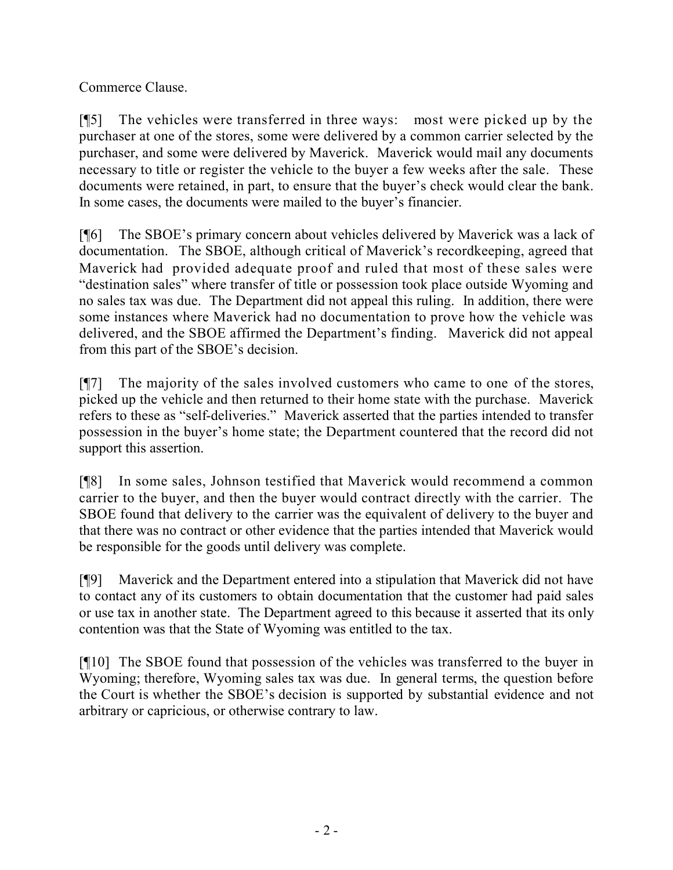Commerce Clause.

[¶5] The vehicles were transferred in three ways: most were picked up by the purchaser at one of the stores, some were delivered by a common carrier selected by the purchaser, and some were delivered by Maverick. Maverick would mail any documents necessary to title or register the vehicle to the buyer a few weeks after the sale. These documents were retained, in part, to ensure that the buyer's check would clear the bank. In some cases, the documents were mailed to the buyer's financier.

[¶6] The SBOE's primary concern about vehicles delivered by Maverick was a lack of documentation. The SBOE, although critical of Maverick's recordkeeping, agreed that Maverick had provided adequate proof and ruled that most of these sales were "destination sales" where transfer of title or possession took place outside Wyoming and no sales tax was due. The Department did not appeal this ruling. In addition, there were some instances where Maverick had no documentation to prove how the vehicle was delivered, and the SBOE affirmed the Department's finding. Maverick did not appeal from this part of the SBOE's decision.

[¶7] The majority of the sales involved customers who came to one of the stores, picked up the vehicle and then returned to their home state with the purchase. Maverick refers to these as "self-deliveries." Maverick asserted that the parties intended to transfer possession in the buyer's home state; the Department countered that the record did not support this assertion.

[¶8] In some sales, Johnson testified that Maverick would recommend a common carrier to the buyer, and then the buyer would contract directly with the carrier. The SBOE found that delivery to the carrier was the equivalent of delivery to the buyer and that there was no contract or other evidence that the parties intended that Maverick would be responsible for the goods until delivery was complete.

[¶9] Maverick and the Department entered into a stipulation that Maverick did not have to contact any of its customers to obtain documentation that the customer had paid sales or use tax in another state. The Department agreed to this because it asserted that its only contention was that the State of Wyoming was entitled to the tax.

[¶10] The SBOE found that possession of the vehicles was transferred to the buyer in Wyoming; therefore, Wyoming sales tax was due. In general terms, the question before the Court is whether the SBOE's decision is supported by substantial evidence and not arbitrary or capricious, or otherwise contrary to law.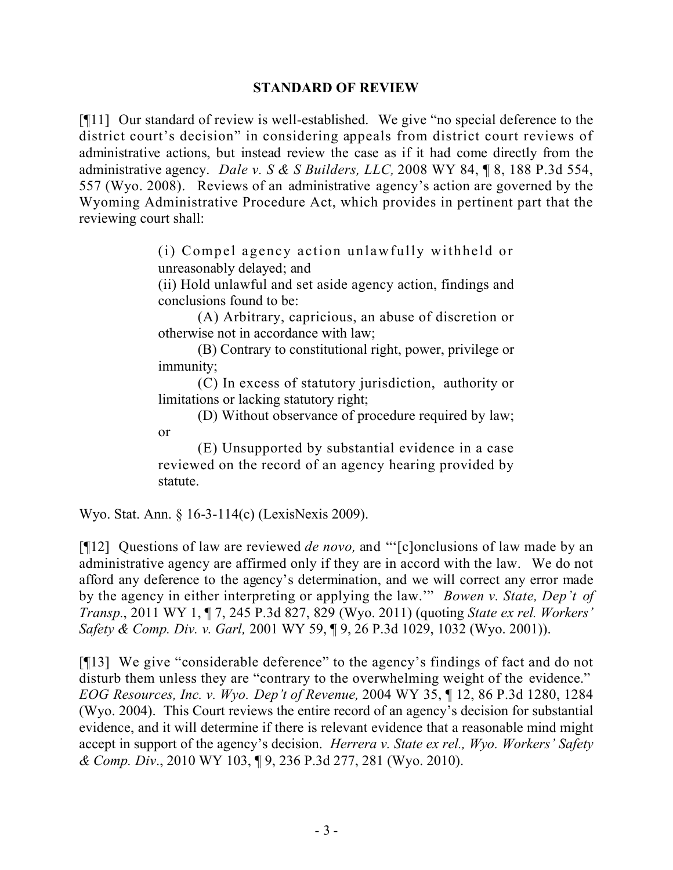#### **STANDARD OF REVIEW**

[¶11] Our standard of review is well-established. We give "no special deference to the district court's decision" in considering appeals from district court reviews of administrative actions, but instead review the case as if it had come directly from the administrative agency. *Dale v. S & S Builders, LLC,* 2008 WY 84, ¶ 8, 188 P.3d 554, 557 (Wyo. 2008). Reviews of an administrative agency's action are governed by the Wyoming Administrative Procedure Act, which provides in pertinent part that the reviewing court shall:

> (i) Compel agency action unlawfully withheld or unreasonably delayed; and

> (ii) Hold unlawful and set aside agency action, findings and conclusions found to be:

> (A) Arbitrary, capricious, an abuse of discretion or otherwise not in accordance with law;

> (B) Contrary to constitutional right, power, privilege or immunity;

> (C) In excess of statutory jurisdiction, authority or limitations or lacking statutory right;

> (D) Without observance of procedure required by law; or

> (E) Unsupported by substantial evidence in a case reviewed on the record of an agency hearing provided by statute.

Wyo. Stat. Ann. § 16-3-114(c) (LexisNexis 2009).

[¶12] Questions of law are reviewed *de novo,* and "'[c]onclusions of law made by an administrative agency are affirmed only if they are in accord with the law. We do not afford any deference to the agency's determination, and we will correct any error made by the agency in either interpreting or applying the law.'" *Bowen v. State, Dep't of Transp.*, 2011 WY 1, ¶ 7, 245 P.3d 827, 829 (Wyo. 2011) (quoting *State ex rel. Workers' Safety & Comp. Div. v. Garl,* 2001 WY 59, ¶ 9, 26 P.3d 1029, 1032 (Wyo. 2001)).

[¶13] We give "considerable deference" to the agency's findings of fact and do not disturb them unless they are "contrary to the overwhelming weight of the evidence." *EOG Resources, Inc. v. Wyo. Dep't of Revenue,* 2004 WY 35, ¶ 12, 86 P.3d 1280, 1284 (Wyo. 2004). This Court reviews the entire record of an agency's decision for substantial evidence, and it will determine if there is relevant evidence that a reasonable mind might accept in support of the agency's decision. *Herrera v. State ex rel., Wyo. Workers' Safety & Comp. Div*., 2010 WY 103, ¶ 9, 236 P.3d 277, 281 (Wyo. 2010).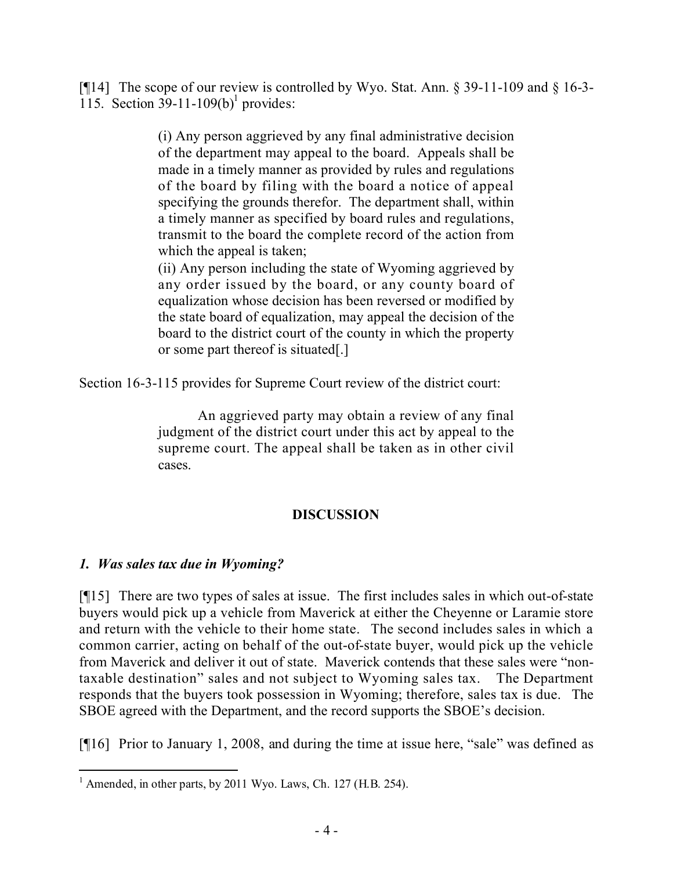[ $[14]$ ] The scope of our review is controlled by Wyo. Stat. Ann. § 39-11-109 and § 16-3-115. Section  $39-11-109(b)$ <sup>1</sup> provides:

> (i) Any person aggrieved by any final administrative decision of the department may appeal to the board. Appeals shall be made in a timely manner as provided by rules and regulations of the board by filing with the board a notice of appeal specifying the grounds therefor. The department shall, within a timely manner as specified by board rules and regulations, transmit to the board the complete record of the action from which the appeal is taken;

> (ii) Any person including the state of Wyoming aggrieved by any order issued by the board, or any county board of equalization whose decision has been reversed or modified by the state board of equalization, may appeal the decision of the board to the district court of the county in which the property or some part thereof is situated[.]

Section 16-3-115 provides for Supreme Court review of the district court:

An aggrieved party may obtain a review of any final judgment of the district court under this act by appeal to the supreme court. The appeal shall be taken as in other civil cases.

# **DISCUSSION**

# *1. Was sales tax due in Wyoming?*

[¶15] There are two types of sales at issue. The first includes sales in which out-of-state buyers would pick up a vehicle from Maverick at either the Cheyenne or Laramie store and return with the vehicle to their home state. The second includes sales in which a common carrier, acting on behalf of the out-of-state buyer, would pick up the vehicle from Maverick and deliver it out of state. Maverick contends that these sales were "nontaxable destination" sales and not subject to Wyoming sales tax. The Department responds that the buyers took possession in Wyoming; therefore, sales tax is due. The SBOE agreed with the Department, and the record supports the SBOE's decision.

[¶16] Prior to January 1, 2008, and during the time at issue here, "sale" was defined as

  $<sup>1</sup>$  Amended, in other parts, by 2011 Wyo. Laws, Ch. 127 (H.B. 254).</sup>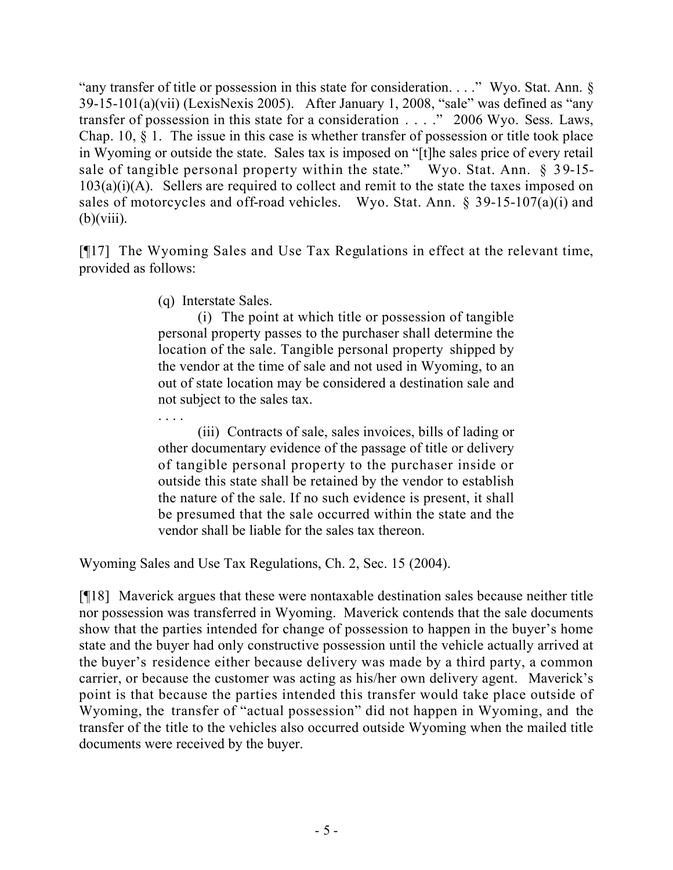"any transfer of title or possession in this state for consideration. . . ." Wyo. Stat. Ann. §  $39-15-101(a)(vii)$  (LexisNexis 2005). After January 1, 2008, "sale" was defined as "any transfer of possession in this state for a consideration . . . ." 2006 Wyo. Sess. Laws, Chap. 10, § 1. The issue in this case is whether transfer of possession or title took place in Wyoming or outside the state. Sales tax is imposed on "[t]he sales price of every retail sale of tangible personal property within the state." Wyo. Stat. Ann.  $\S$  39-15- $103(a)(i)(A)$ . Sellers are required to collect and remit to the state the taxes imposed on sales of motorcycles and off-road vehicles. Wyo. Stat. Ann. § 39-15-107(a)(i) and  $(b)(viii)$ .

[¶17] The Wyoming Sales and Use Tax Regulations in effect at the relevant time, provided as follows:

(q) Interstate Sales.

(i) The point at which title or possession of tangible personal property passes to the purchaser shall determine the location of the sale. Tangible personal property shipped by the vendor at the time of sale and not used in Wyoming, to an out of state location may be considered a destination sale and not subject to the sales tax.

. . . . (iii) Contracts of sale, sales invoices, bills of lading or other documentary evidence of the passage of title or delivery of tangible personal property to the purchaser inside or outside this state shall be retained by the vendor to establish the nature of the sale. If no such evidence is present, it shall be presumed that the sale occurred within the state and the vendor shall be liable for the sales tax thereon.

Wyoming Sales and Use Tax Regulations, Ch. 2, Sec. 15 (2004).

[¶18] Maverick argues that these were nontaxable destination sales because neither title nor possession was transferred in Wyoming. Maverick contends that the sale documents show that the parties intended for change of possession to happen in the buyer's home state and the buyer had only constructive possession until the vehicle actually arrived at the buyer's residence either because delivery was made by a third party, a common carrier, or because the customer was acting as his/her own delivery agent. Maverick's point is that because the parties intended this transfer would take place outside of Wyoming, the transfer of "actual possession" did not happen in Wyoming, and the transfer of the title to the vehicles also occurred outside Wyoming when the mailed title documents were received by the buyer.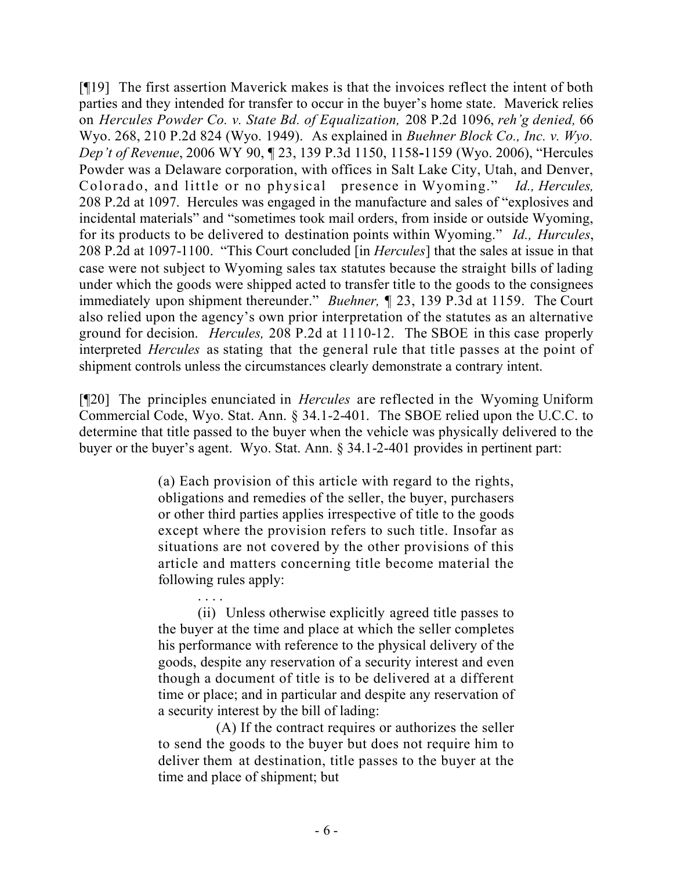[¶19] The first assertion Maverick makes is that the invoices reflect the intent of both parties and they intended for transfer to occur in the buyer's home state. Maverick relies on *Hercules Powder Co. v. State Bd. of Equalization,* 208 P.2d 1096, *reh'g denied,* 66 Wyo. 268, 210 P.2d 824 (Wyo. 1949). As explained in *Buehner Block Co., Inc. v. Wyo. Dep't of Revenue*, 2006 WY 90, ¶ 23, 139 P.3d 1150, 1158**-**1159 (Wyo. 2006), "Hercules Powder was a Delaware corporation, with offices in Salt Lake City, Utah, and Denver, Colorado, and little or no physical presence in Wyoming." *Id., Hercules,*  208 P.2d at 1097. Hercules was engaged in the manufacture and sales of "explosives and incidental materials" and "sometimes took mail orders, from inside or outside Wyoming, for its products to be delivered to destination points within Wyoming." *Id., Hurcules*, 208 P.2d at 1097-1100. "This Court concluded [in *Hercules*] that the sales at issue in that case were not subject to Wyoming sales tax statutes because the straight bills of lading under which the goods were shipped acted to transfer title to the goods to the consignees immediately upon shipment thereunder." *Buehner,* ¶ 23, 139 P.3d at 1159. The Court also relied upon the agency's own prior interpretation of the statutes as an alternative ground for decision. *Hercules,* 208 P.2d at 1110-12. The SBOE in this case properly interpreted *Hercules* as stating that the general rule that title passes at the point of shipment controls unless the circumstances clearly demonstrate a contrary intent.

[¶20] The principles enunciated in *Hercules* are reflected in the Wyoming Uniform Commercial Code, Wyo. Stat. Ann. § 34.1-2-401. The SBOE relied upon the U.C.C. to determine that title passed to the buyer when the vehicle was physically delivered to the buyer or the buyer's agent. Wyo. Stat. Ann. § 34.1-2-401 provides in pertinent part:

> (a) Each provision of this article with regard to the rights, obligations and remedies of the seller, the buyer, purchasers or other third parties applies irrespective of title to the goods except where the provision refers to such title. Insofar as situations are not covered by the other provisions of this article and matters concerning title become material the following rules apply:

> (ii) Unless otherwise explicitly agreed title passes to the buyer at the time and place at which the seller completes his performance with reference to the physical delivery of the goods, despite any reservation of a security interest and even though a document of title is to be delivered at a different time or place; and in particular and despite any reservation of a security interest by the bill of lading:

. . . .

 (A) If the contract requires or authorizes the seller to send the goods to the buyer but does not require him to deliver them at destination, title passes to the buyer at the time and place of shipment; but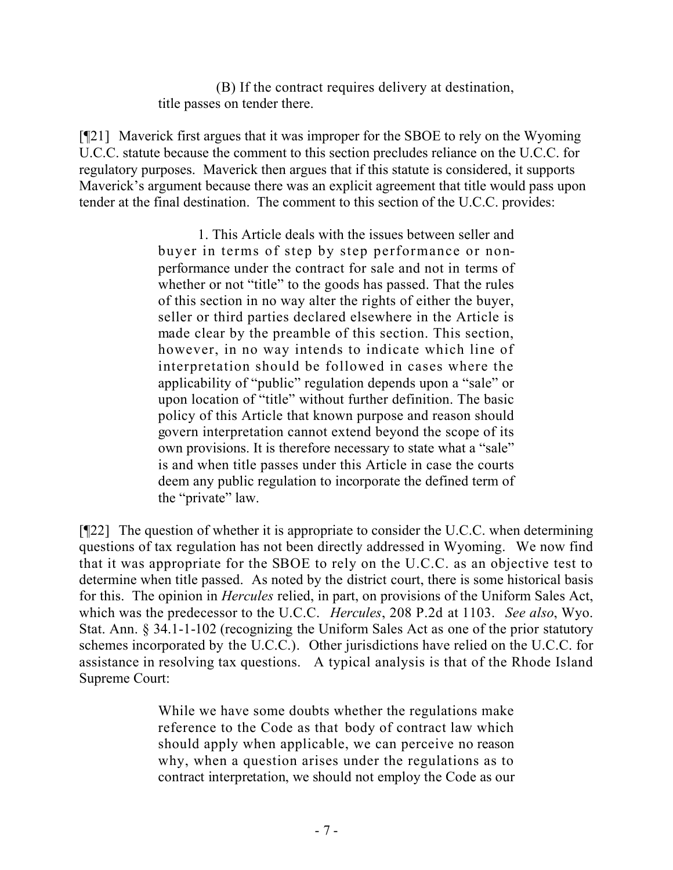(B) If the contract requires delivery at destination, title passes on tender there.

[¶21] Maverick first argues that it was improper for the SBOE to rely on the Wyoming U.C.C. statute because the comment to this section precludes reliance on the U.C.C. for regulatory purposes. Maverick then argues that if this statute is considered, it supports Maverick's argument because there was an explicit agreement that title would pass upon tender at the final destination. The comment to this section of the U.C.C. provides:

> 1. This Article deals with the issues between seller and buyer in terms of step by step performance or nonperformance under the contract for sale and not in terms of whether or not "title" to the goods has passed. That the rules of this section in no way alter the rights of either the buyer, seller or third parties declared elsewhere in the Article is made clear by the preamble of this section. This section, however, in no way intends to indicate which line of interpretation should be followed in cases where the applicability of "public" regulation depends upon a "sale" or upon location of "title" without further definition. The basic policy of this Article that known purpose and reason should govern interpretation cannot extend beyond the scope of its own provisions. It is therefore necessary to state what a "sale" is and when title passes under this Article in case the courts deem any public regulation to incorporate the defined term of the "private" law.

[¶22] The question of whether it is appropriate to consider the U.C.C. when determining questions of tax regulation has not been directly addressed in Wyoming. We now find that it was appropriate for the SBOE to rely on the U.C.C. as an objective test to determine when title passed. As noted by the district court, there is some historical basis for this. The opinion in *Hercules* relied, in part, on provisions of the Uniform Sales Act, which was the predecessor to the U.C.C. *Hercules*, 208 P.2d at 1103. *See also*, Wyo. Stat. Ann. § 34.1-1-102 (recognizing the Uniform Sales Act as one of the prior statutory schemes incorporated by the U.C.C.). Other jurisdictions have relied on the U.C.C. for assistance in resolving tax questions. A typical analysis is that of the Rhode Island Supreme Court:

> While we have some doubts whether the regulations make reference to the Code as that body of contract law which should apply when applicable, we can perceive no reason why, when a question arises under the regulations as to contract interpretation, we should not employ the Code as our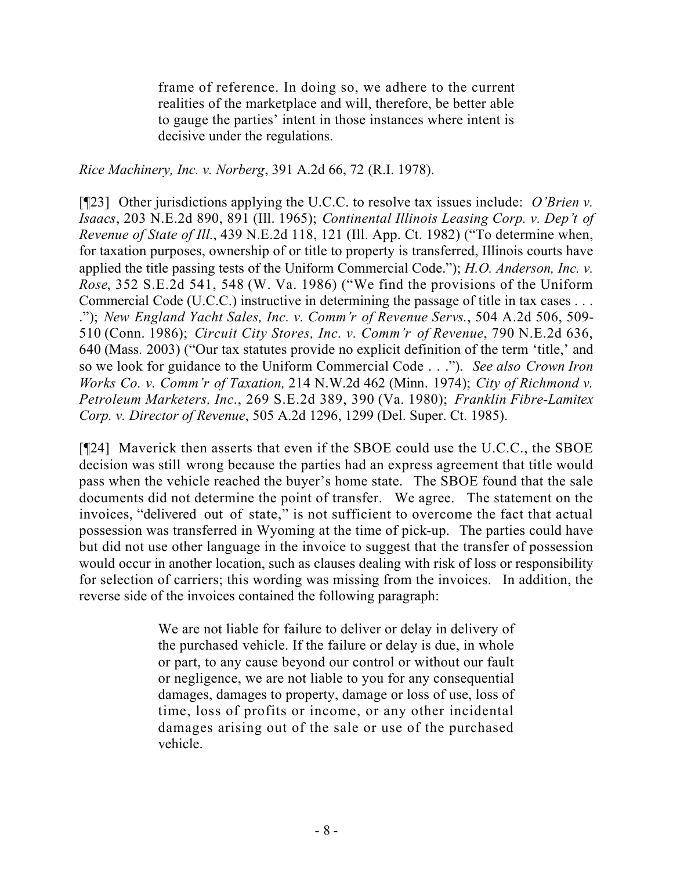frame of reference. In doing so, we adhere to the current realities of the marketplace and will, therefore, be better able to gauge the parties' intent in those instances where intent is decisive under the regulations.

*Rice Machinery, Inc. v. Norberg*, 391 A.2d 66, 72 (R.I. 1978).

[¶23] Other jurisdictions applying the U.C.C. to resolve tax issues include: *O'Brien v. Isaacs*, 203 N.E.2d 890, 891 (Ill. 1965); *Continental Illinois Leasing Corp. v. Dep't of Revenue of State of Ill.*, 439 N.E.2d 118, 121 (Ill. App. Ct. 1982) ("To determine when, for taxation purposes, ownership of or title to property is transferred, Illinois courts have applied the title passing tests of the Uniform Commercial Code."); *H.O. Anderson, Inc. v. Rose*, 352 S.E.2d 541, 548 (W. Va. 1986) ("We find the provisions of the Uniform Commercial Code (U.C.C.) instructive in determining the passage of title in tax cases . . . ."); *New England Yacht Sales, Inc. v. Comm'r of Revenue Servs.*, 504 A.2d 506, 509- 510 (Conn. 1986); *Circuit City Stores, Inc. v. Comm'r of Revenue*, 790 N.E.2d 636, 640 (Mass. 2003) ("Our tax statutes provide no explicit definition of the term 'title,' and so we look for guidance to the Uniform Commercial Code . . ."). *See also Crown Iron Works Co. v. Comm'r of Taxation,* 214 N.W.2d 462 (Minn. 1974); *City of Richmond v. Petroleum Marketers, Inc*., 269 S.E.2d 389, 390 (Va. 1980); *Franklin Fibre-Lamitex Corp. v. Director of Revenue*, 505 A.2d 1296, 1299 (Del. Super. Ct. 1985).

[¶24] Maverick then asserts that even if the SBOE could use the U.C.C., the SBOE decision was still wrong because the parties had an express agreement that title would pass when the vehicle reached the buyer's home state. The SBOE found that the sale documents did not determine the point of transfer. We agree. The statement on the invoices, "delivered out of state," is not sufficient to overcome the fact that actual possession was transferred in Wyoming at the time of pick-up. The parties could have but did not use other language in the invoice to suggest that the transfer of possession would occur in another location, such as clauses dealing with risk of loss or responsibility for selection of carriers; this wording was missing from the invoices. In addition, the reverse side of the invoices contained the following paragraph:

> We are not liable for failure to deliver or delay in delivery of the purchased vehicle. If the failure or delay is due, in whole or part, to any cause beyond our control or without our fault or negligence, we are not liable to you for any consequential damages, damages to property, damage or loss of use, loss of time, loss of profits or income, or any other incidental damages arising out of the sale or use of the purchased vehicle.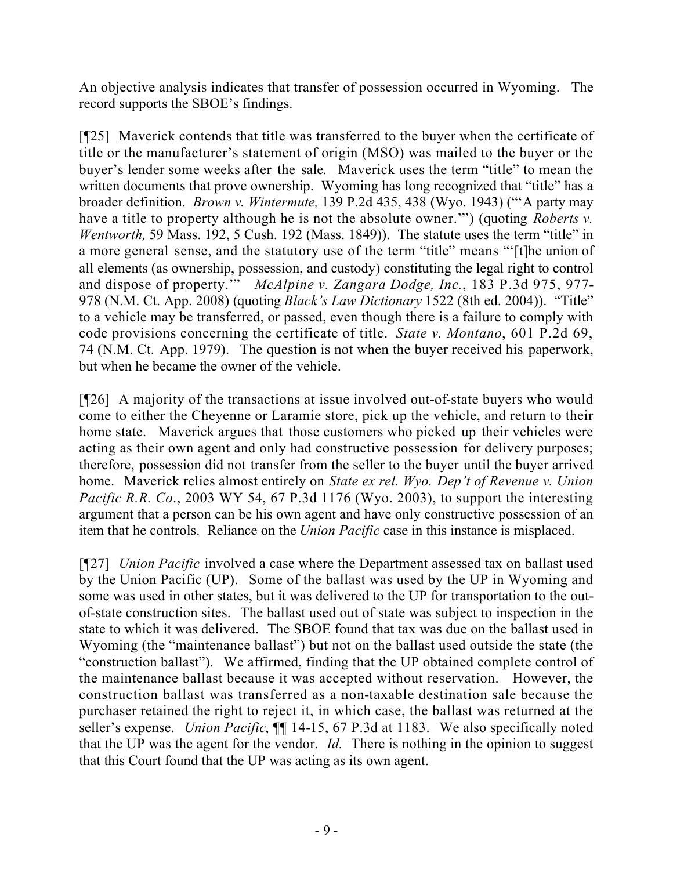An objective analysis indicates that transfer of possession occurred in Wyoming. The record supports the SBOE's findings.

[¶25] Maverick contends that title was transferred to the buyer when the certificate of title or the manufacturer's statement of origin (MSO) was mailed to the buyer or the buyer's lender some weeks after the sale. Maverick uses the term "title" to mean the written documents that prove ownership. Wyoming has long recognized that "title" has a broader definition. *Brown v. Wintermute,* 139 P.2d 435, 438 (Wyo. 1943) ("'A party may have a title to property although he is not the absolute owner.'") (quoting *Roberts v. Wentworth,* 59 Mass. 192, 5 Cush. 192 (Mass. 1849)). The statute uses the term "title" in a more general sense, and the statutory use of the term "title" means "'[t]he union of all elements (as ownership, possession, and custody) constituting the legal right to control and dispose of property.'" *McAlpine v. Zangara Dodge, Inc.*, 183 P.3d 975, 977- 978 (N.M. Ct. App. 2008) (quoting *Black's Law Dictionary* 1522 (8th ed. 2004)). "Title" to a vehicle may be transferred, or passed, even though there is a failure to comply with code provisions concerning the certificate of title. *State v. Montano*, 601 P.2d 69, 74 (N.M. Ct. App. 1979). The question is not when the buyer received his paperwork, but when he became the owner of the vehicle.

[¶26] A majority of the transactions at issue involved out-of-state buyers who would come to either the Cheyenne or Laramie store, pick up the vehicle, and return to their home state. Maverick argues that those customers who picked up their vehicles were acting as their own agent and only had constructive possession for delivery purposes; therefore, possession did not transfer from the seller to the buyer until the buyer arrived home. Maverick relies almost entirely on *State ex rel. Wyo. Dep't of Revenue v. Union Pacific R.R. Co*., 2003 WY 54, 67 P.3d 1176 (Wyo. 2003), to support the interesting argument that a person can be his own agent and have only constructive possession of an item that he controls. Reliance on the *Union Pacific* case in this instance is misplaced.

[¶27] *Union Pacific* involved a case where the Department assessed tax on ballast used by the Union Pacific (UP). Some of the ballast was used by the UP in Wyoming and some was used in other states, but it was delivered to the UP for transportation to the outof-state construction sites. The ballast used out of state was subject to inspection in the state to which it was delivered. The SBOE found that tax was due on the ballast used in Wyoming (the "maintenance ballast") but not on the ballast used outside the state (the "construction ballast"). We affirmed, finding that the UP obtained complete control of the maintenance ballast because it was accepted without reservation. However, the construction ballast was transferred as a non-taxable destination sale because the purchaser retained the right to reject it, in which case, the ballast was returned at the seller's expense. *Union Pacific*, ¶¶ 14-15, 67 P.3d at 1183. We also specifically noted that the UP was the agent for the vendor. *Id.* There is nothing in the opinion to suggest that this Court found that the UP was acting as its own agent.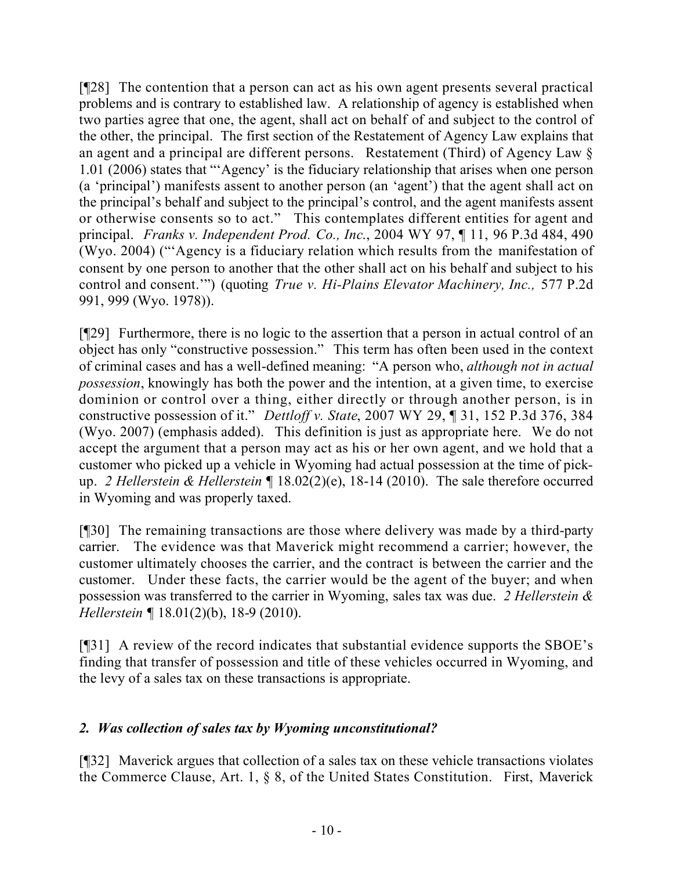[¶28] The contention that a person can act as his own agent presents several practical problems and is contrary to established law. A relationship of agency is established when two parties agree that one, the agent, shall act on behalf of and subject to the control of the other, the principal. The first section of the Restatement of Agency Law explains that an agent and a principal are different persons. Restatement (Third) of Agency Law § 1.01 (2006) states that "'Agency' is the fiduciary relationship that arises when one person (a 'principal') manifests assent to another person (an 'agent') that the agent shall act on the principal's behalf and subject to the principal's control, and the agent manifests assent or otherwise consents so to act." This contemplates different entities for agent and principal. *Franks v. Independent Prod. Co., Inc*., 2004 WY 97, ¶ 11, 96 P.3d 484, 490 (Wyo. 2004) ("'Agency is a fiduciary relation which results from the manifestation of consent by one person to another that the other shall act on his behalf and subject to his control and consent.'") (quoting *True v. Hi-Plains Elevator Machinery, Inc.,* 577 P.2d 991, 999 (Wyo. 1978)).

[¶29] Furthermore, there is no logic to the assertion that a person in actual control of an object has only "constructive possession." This term has often been used in the context of criminal cases and has a well-defined meaning: "A person who, *although not in actual possession*, knowingly has both the power and the intention, at a given time, to exercise dominion or control over a thing, either directly or through another person, is in constructive possession of it." *Dettloff v. State*, 2007 WY 29, ¶ 31, 152 P.3d 376, 384 (Wyo. 2007) (emphasis added). This definition is just as appropriate here. We do not accept the argument that a person may act as his or her own agent, and we hold that a customer who picked up a vehicle in Wyoming had actual possession at the time of pickup. *2 Hellerstein & Hellerstein ¶* 18.02(2)(e), 18-14 (2010). The sale therefore occurred in Wyoming and was properly taxed.

[¶30] The remaining transactions are those where delivery was made by a third-party carrier. The evidence was that Maverick might recommend a carrier; however, the customer ultimately chooses the carrier, and the contract is between the carrier and the customer. Under these facts, the carrier would be the agent of the buyer; and when possession was transferred to the carrier in Wyoming, sales tax was due. *2 Hellerstein & Hellerstein ¶* 18.01(2)(b), 18-9 (2010).

[¶31] A review of the record indicates that substantial evidence supports the SBOE's finding that transfer of possession and title of these vehicles occurred in Wyoming, and the levy of a sales tax on these transactions is appropriate.

# *2. Was collection of sales tax by Wyoming unconstitutional?*

[¶32] Maverick argues that collection of a sales tax on these vehicle transactions violates the Commerce Clause, Art. 1, § 8, of the United States Constitution. First, Maverick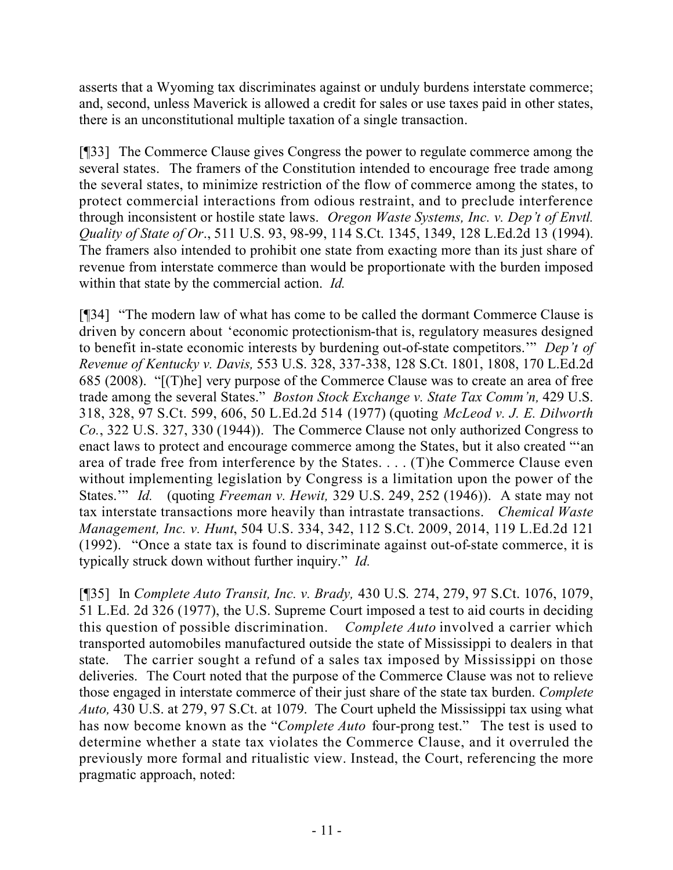asserts that a Wyoming tax discriminates against or unduly burdens interstate commerce; and, second, unless Maverick is allowed a credit for sales or use taxes paid in other states, there is an unconstitutional multiple taxation of a single transaction.

[¶33] The Commerce Clause gives Congress the power to regulate commerce among the several states. The framers of the Constitution intended to encourage free trade among the several states, to minimize restriction of the flow of commerce among the states, to protect commercial interactions from odious restraint, and to preclude interference through inconsistent or hostile state laws. *Oregon Waste Systems, Inc. v. Dep't of Envtl. Quality of State of Or*., 511 U.S. 93, 98-99, 114 S.Ct. 1345, 1349, 128 L.Ed.2d 13 (1994). The framers also intended to prohibit one state from exacting more than its just share of revenue from interstate commerce than would be proportionate with the burden imposed within that state by the commercial action. *Id.* 

[¶34] "The modern law of what has come to be called the dormant Commerce Clause is driven by concern about 'economic protectionism-that is, regulatory measures designed to benefit in-state economic interests by burdening out-of-state competitors.'" *Dep't of Revenue of Kentucky v. Davis,* 553 U.S. 328, 337-338, 128 S.Ct. 1801, 1808, 170 L.Ed.2d 685 (2008). "[(T)he] very purpose of the Commerce Clause was to create an area of free trade among the several States." *Boston Stock Exchange v. State Tax Comm'n,* 429 U.S. 318, 328, 97 S.Ct. 599, 606, 50 L.Ed.2d 514 (1977) (quoting *McLeod v. J. E. Dilworth Co.*, 322 U.S. 327, 330 (1944)). The Commerce Clause not only authorized Congress to enact laws to protect and encourage commerce among the States, but it also created "'an area of trade free from interference by the States. . . . (T)he Commerce Clause even without implementing legislation by Congress is a limitation upon the power of the States.'" *Id.* (quoting *Freeman v. Hewit,* 329 U.S. 249, 252 (1946)). A state may not tax interstate transactions more heavily than intrastate transactions. *Chemical Waste Management, Inc. v. Hunt*, 504 U.S. 334, 342, 112 S.Ct. 2009, 2014, 119 L.Ed.2d 121 (1992). "Once a state tax is found to discriminate against out-of-state commerce, it is typically struck down without further inquiry." *Id.*

[¶35] In *Complete Auto Transit, Inc. v. Brady,* 430 U.S*.* 274, 279, 97 S.Ct. 1076, 1079, 51 L.Ed. 2d 326 (1977), the U.S. Supreme Court imposed a test to aid courts in deciding this question of possible discrimination. *Complete Auto* involved a carrier which transported automobiles manufactured outside the state of Mississippi to dealers in that state. The carrier sought a refund of a sales tax imposed by Mississippi on those deliveries. The Court noted that the purpose of the Commerce Clause was not to relieve those engaged in interstate commerce of their just share of the state tax burden. *Complete Auto,* 430 U.S. at 279, 97 S.Ct. at 1079. The Court upheld the Mississippi tax using what has now become known as the "*Complete Auto* four-prong test." The test is used to determine whether a state tax violates the Commerce Clause, and it overruled the previously more formal and ritualistic view. Instead, the Court, referencing the more pragmatic approach, noted: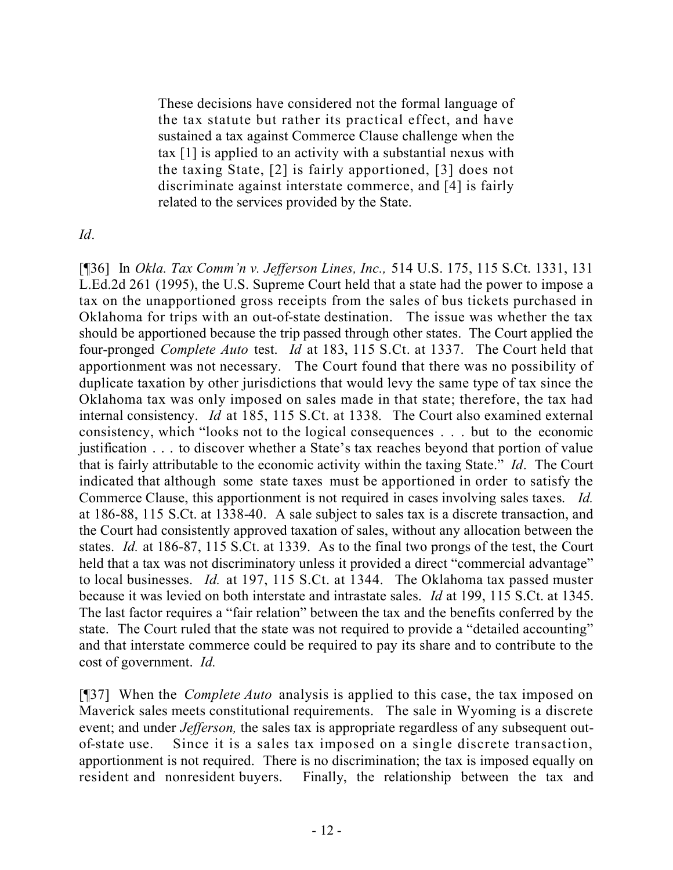These decisions have considered not the formal language of the tax statute but rather its practical effect, and have sustained a tax against Commerce Clause challenge when the tax [1] is applied to an activity with a substantial nexus with the taxing State, [2] is fairly apportioned, [3] does not discriminate against interstate commerce, and [4] is fairly related to the services provided by the State.

### *Id*.

[¶36] In *Okla. Tax Comm'n v. Jefferson Lines, Inc.,* 514 U.S. 175, 115 S.Ct. 1331, 131 L.Ed.2d 261 (1995), the U.S. Supreme Court held that a state had the power to impose a tax on the unapportioned gross receipts from the sales of bus tickets purchased in Oklahoma for trips with an out-of-state destination. The issue was whether the tax should be apportioned because the trip passed through other states. The Court applied the four-pronged *Complete Auto* test. *Id* at 183, 115 S.Ct. at 1337. The Court held that apportionment was not necessary. The Court found that there was no possibility of duplicate taxation by other jurisdictions that would levy the same type of tax since the Oklahoma tax was only imposed on sales made in that state; therefore, the tax had internal consistency. *Id* at 185, 115 S.Ct. at 1338. The Court also examined external consistency, which "looks not to the logical consequences . . . but to the economic justification . . . to discover whether a State's tax reaches beyond that portion of value that is fairly attributable to the economic activity within the taxing State." *Id*. The Court indicated that although some state taxes must be apportioned in order to satisfy the Commerce Clause, this apportionment is not required in cases involving sales taxes. *Id.*  at 186-88, 115 S.Ct. at 1338-40. A sale subject to sales tax is a discrete transaction, and the Court had consistently approved taxation of sales, without any allocation between the states. *Id.* at 186-87, 115 S.Ct. at 1339. As to the final two prongs of the test, the Court held that a tax was not discriminatory unless it provided a direct "commercial advantage" to local businesses. *Id.* at 197, 115 S.Ct. at 1344. The Oklahoma tax passed muster because it was levied on both interstate and intrastate sales. *Id* at 199, 115 S.Ct. at 1345. The last factor requires a "fair relation" between the tax and the benefits conferred by the state. The Court ruled that the state was not required to provide a "detailed accounting" and that interstate commerce could be required to pay its share and to contribute to the cost of government. *Id.* 

[¶37] When the *Complete Auto* analysis is applied to this case, the tax imposed on Maverick sales meets constitutional requirements. The sale in Wyoming is a discrete event; and under *Jefferson*, the sales tax is appropriate regardless of any subsequent outof-state use. Since it is a sales tax imposed on a single discrete transaction, apportionment is not required. There is no discrimination; the tax is imposed equally on resident and nonresident buyers. Finally, the relationship between the tax and